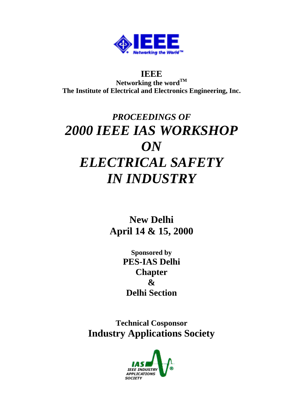

# **IEEE** Networking the word<sup>TM</sup> **The Institute of Electrical and Electronics Engineering, Inc.**

# *PROCEEDINGS OF 2000 IEEE IAS WORKSHOP ON ELECTRICAL SAFETY IN INDUSTRY*

**New Delhi April 14 & 15, 2000**

> **Sponsored by PES-IAS Delhi Chapter & Delhi Section**

**Technical Cosponsor Industry Applications Society**

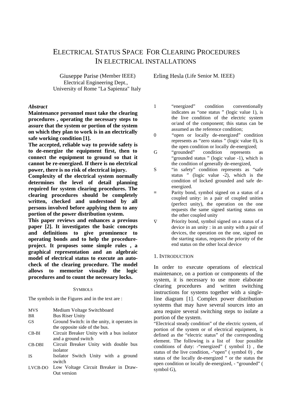# ELECTRICAL STATUS SPACE FOR CLEARING PROCEDURES IN ELECTRICAL INSTALLATIONS

Electrical Engineering Dept., University of Rome "La Sapienza" Italy

## *Abstract*

**Maintenance personnel must take the clearing procedures , operating the necessary steps to assure that the system or portion of the system on which they plan to work is in an electrically safe working condition [1].**

**The accepted, reliable way to provide safety is to de-energize the equipment first, then to connect the equipment to ground so that it cannot be re-energized. If there is no electrical power, there is no risk of electrical injury.**

**Complexity of the electrical system normally determines the level of detail planning required for system clearing procedures. The clearing procedures should be completely written, checked and understood by all persons involved before applying them to any portion of the power distribution system.**

**This paper reviews and enhances a previous paper [2]. It investigates the basic concepts and definitions to give prominence to operating bonds and to help the procedureproject. It proposes some simple rules , a graphical representation and an algebraic model of electrical status to execute an autocheck of the clearing procedure. The model allows to memorize visually the logic procedures and to count the necessary locks.**

#### SYMBOLS

The symbols in the Figures and in the text are :

| <b>MVS</b> | Medium Voltage Switchboard                  |
|------------|---------------------------------------------|
| <b>BR</b>  | <b>Bus Riser Unity</b>                      |
| <b>GS</b>  | Ground Switch: in the unity, it operates in |
|            | the opposite side of the bus.               |
|            |                                             |

CB-BI Circuit Breaker Unity with a bus isolator and a ground switch

- CB-DBI Circuit Breaker Unity with double bus isolator
- IS Isolator Switch Unity with a ground switch
- LVCB-DO Low Voltage Circuit Breaker in Draw-Out version

Giuseppe Parise (Member IEEE) Erling Hesla (Life Senior M. IEEE)

- 1 "energized" condition conventionally indicates as "one status " (logic value 1), is the live condition of the electric system or/and of the component; this status can be assumed as the reference condition;
- 0 "open or locally de-energized" condition represents as "zero status " (logic value 0), is the open condition or locally de-energized;
- G "grounded" condition represents as "grounded status " (logic value -1), which is the condition of generally de-energized,
- S "in safety" condition represents as "safe status " (logic value -2), which is the condition of locked grounded and safe deenergized.
- **=** Parity bond, symbol signed on a status of a coupled unity: in a pair of coupled unities (perfect unity), the operation on the one requests the same signed starting status on the other coupled unity
- $\nabla$  Priority bond, symbol signed on a status of a device in an unity : in an unity with a pair of devices, the operation on the one, signed on the starting status, requests the priority of the end status on the other local device

## 1. INTRODUCTION

In order to execute operations of electrical maintenance, on a portion or components of the system, it is necessary to use more elaborate clearing procedures and written switching instructions for systems together with a singleline diagram [1]. Complex power distribution systems that may have several sources into an area require several switching steps to isolate a portion of the system.

"Electrical steady condition" of the electric system, of portion of the system or of electrical equipment, is defined as the "electric status" of the corresponding element. The following is a list of four possible conditions of duty: -"energized" ( symbol 1) , the status of the live condition, -"open" ( symbol 0) , the status of the locally de-energized " or the status the open condition or locally de-energized, - "grounded" ( symbol G),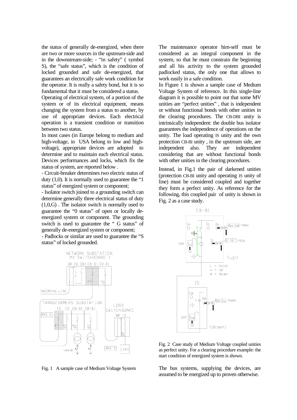the status of generally de-energized, when there are two or more sources in the upstream-side and in the downstream-side; - "in safety" ( symbol S), the "safe status", which is the condition of locked grounded and safe de-energized, that guarantees an electrically safe work condition for the operator. It is really a safety bond, but it is so fundamental that it must be considered a status.

Operating of electrical system, of a portion of the system or of its electrical equipment, means changing the system from a status to another, by use of appropriate devices. Each electrical operation is a transient condition or transition between two status.

In most cases (in Europe belong to medium and high-voltage, in USA belong to low and highvoltage), appropriate devices are adopted to determine and to maintain each electrical status. Devices performances and locks, which fix the status of system, are reported below .

- Circuit-breaker determines two electric status of duty (1,0). It is normally used to guarantee the "1 status" of energized system or component;

- Isolator switch joined to a grounding switch can determine generally three electrical status of duty (1,0,G) . The isolator switch is normally used to guarantee the "0 status" of open or locally deenergized system or component. The grounding switch is used to guarantee the " G status" of generally de-energized system or component;

- Padlocks or similar are used to guarantee the "S status" of locked grounded.



Fig. 1 A sample case of Medium Voltage System

The maintenance operator him-self must be considered as an integral component in the system, so that he must constrain the beginning and all his activity to the system grounded padlocked status, the only one that allows to work easily in a safe condition.

In Figure 1 is shown a sample case of Medium Voltage System of reference. In this single-line diagram it is possible to point out that some MV unities are "perfect unities" , that is independent or without functional bonds with other unities in the clearing procedures. The CB-DBI unity is intrinsically independent: the double bus isolator guarantees the independence of operations on the unity. The load operating IS unity and the own protection CB-BI unity , in the upstream side, are independent also. They are independent considering that are without functional bonds with other unities in the clearing procedures.

Instead, in Fig.1 the pair of darkened unities (protection CB-BI unity and operating IS unity of line) must be considered coupled and together they form a perfect unity. As reference for the following, this coupled pair of unity is shown in Fig. 2 as a case study.



Fig. 2 Case study of Medium Voltage coupled unities as perfect unity. For a clearing procedure example: the start condition of energized system is shown.

The bus systems, supplying the devices, are assumed to be energized up to proven otherwise.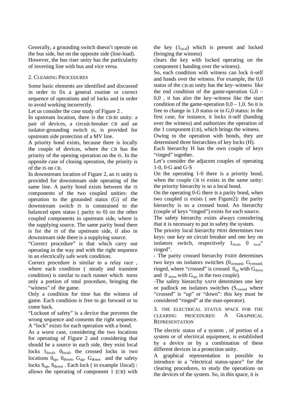Generally, a grounding switch doesn't operate on the bus side, but on the opposite side (line-load). However, the bus riser unity has the particularity of inverting line with bus and vice versa.

## 2. CLEARING PROCEDURES

Some basic elements are identified and discussed in order to fix a general routine or correct sequence of operations and of locks and in order to avoid working incorrectly.

Let us consider the case study of Figure 2 .

In upstream location, there is the CB-BI unity: a pair of devices, a circuit-breaker CB and an isolator-grounding switch IS, is provided for upstream side protection of a MV line.

A priority bond exists, because there is locally the couple of devices, where the CB has the priority of the opening operation on the IS. In the opposite case of closing operation, the priority is of the IS on CB.

In downstream location of Figure 2, an IS unity is provided for downstream side operating of the same line. A parity bond exists between the IS components of the two coupled unities: the operation to the grounded status (G) of the downstream switch IS is constrained to the balanced open status ( parity to 0) on the other coupled components in upstream side, where is the supplying source. The same parity bond there is for the IS of the upstream side, if also in downstream side there is a supplying source.

"Correct procedure" is that which carry out operating in the way and with the right sequence in an electrically safe work condition.

Correct procedure is similar to a relay race , where each condition ( steady and transient condition) is similar to each runner which turns only a portion of total procedure, bringing the "witness" of the game.

Only a condition for time has the witness of game. Each condition is free to go forward or to come back.

"Lockout of safety" is a device that prevents the wrong sequence and consents the right sequence. A "lock" exists for each operation with a bond.

As a worst case, considering the two locations for operating of Figure 2 and considering that should be a source in each side, they exist local locks  $1_{local}$ ,  $0_{local}$ , the crossed locks in two locations  $0_{\text{up}}$ ,  $0_{\text{down}}$ ,  $G_{\text{up}}$ ,  $G_{\text{down}}$  and the safety locks  $S_{\text{un}}$ ,  $S_{\text{down}}$ . Each lock (in example 1local): allows the operating of component 1 (CB) with the key  $(1_{local})$  which is present and locked (bringing the witness)

clears the key with locked operating on the component ( handing over the witness).

So, each condition with witness can lock it-self and hands over the witness. For example, the 0,0 status of the CB-BI unity has the key–witness like the end condition of the game-operation  $G<sub>0</sub>$  – 0,0 , it has also the key–witness like the start condition of the game-operation  $0,0 - 1,0$ . So it is free to change in 1,0 status or in G,0 status: in the first case, for instance, it locks it-self (handing over the witness) and authorizes the operation of the 1 component (CB), which brings the witness.

Owing to the operation with bonds, they are determined three hierarchies of key locks (H).

Each hierarchy H has the own couple of keys "ringed" together.

Let's consider the adjacent couples of operating 1-0, 0-G and G-S

On the operating 1-0 there is a priority bond, when the couple CB IS exists in the same unity: the priority hierarchy is so a local bond.

On the operating 0-G there is a parity bond, when two coupled IS exists ( see Figure2): the parity hierarchy is so a crossed bond. An hierarchy (couple of keys "ringed") exists for each source.

The safety hierarchy exists always considering that it is necessary to put in safety the system.

The priority local hierarchy PRIH determines two keys: one key on circuit breaker and one key on isolators switch, respectively  $1_{local}$ , 0  $_{local}$ " ringed".

- The parity crossed hierarchy PARH determines two keys on isolators switches (Ocrossed, Gcrossed, ringed, where "crossed" is crossed  $0_{up}$  with  $G_{down}$ and  $0_{down}$  with  $G_{un}$ , in the two couple).

-The safety hierarchy SAFH determines one key or padlock on isolators switches  $(S_{crossed}$  where "crossed" is "up" or "down": this key must be considered "ringed" at the man-operator).

3. THE ELECTRICAL STATUS SPACE FOR THE CLEARING PROCEDURES: A GRAPHICAL **REPRESENTATION** 

The electric status of a system , of portion of a system or of electrical equipment, is established by a device or by a combination of these different devices in a protection unity.

A graphical representation is possible to introduce in a "electrical status-space" for the clearing procedures, to study the operations on the devices of the system. So, in this space, it is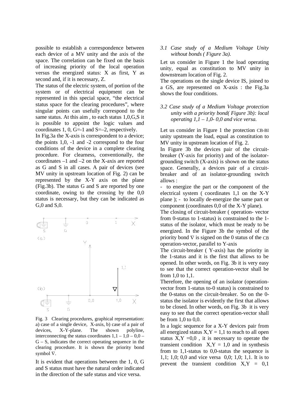possible to establish a correspondence between each device of a MV unity and the axis of the space. The correlation can be fixed on the basis of increasing priority of the local operation versus the energized status: X as first, Y as second and, if it is necessary, Z.

The status of the electric system, of portion of the system or of electrical equipment can be represented in this special space, "the electrical status space for the clearing procedures", where singular points can usefully correspond to the same status. At this aim , to each status 1,0,G,S it is possible to appoint the logic values and coordinates 1, 0,  $G=-1$  and  $S=-2$ , respectively.

In Fig.3a the X-axis is correspondent to a device; the points 1,0, -1 and -2 correspond to the four conditions of the device in a complete clearing procedure. For clearness, conventionally, the coordinates –1 and –2 on the X-axis are reported as G and S in all cases. A pair of devices (see MV unity in upstream location of Fig. 2) can be represented by the X-Y axis on the plane (Fig.3b). The status G and S are reported by one coordinate, owing to the crossing by the 0,0 status is necessary, but they can be indicated as G,0 and S,0.



Fig. 3 Clearing procedures, graphical representation: a) case of a single device, X-axis, b) case of a pair of devices, X-Y-plane. The shown polyline, interconnecting the status coordinates  $1,1 - 1,0 - 0,0 G - S$ , indicates the correct operating sequence in the clearing procedure. It is shown the priority bond symbol  $\nabla$ .

It is evident that operations between the 1, 0, G and S status must have the natural order indicated in the direction of the safe status and vice versa.

# *3.1 Case study of a Medium Voltage Unity without bonds ( Figure 3a).*

Let us consider in Figure 1 the load operating unity, equal as constitution to MV unity in downstream location of Fig. 2.

The operations on the single device IS, joined to a GS, are represented on X-axis : the Fig.3a shows the four conditions.

*3.2 Case study of a Medium Voltage protection unity with a priority bond( Figure 3b): local operating 1,1 – 1,0- 0,0 and vice versa.*

Let us consider in Figure 1 the protection CB-BI unity upstream the load, equal as constitution to MV unity in upstream location of Fig. 2.

In Figure 3b the devices pair of the circuitbreaker (Y-axis for priority) and of the isolatorgrounding switch (X-axis) is shown on the status space. Generally, a devices pair of a circuitbreaker and of an isolator-grounding switch allows :

- to energize the part or the component of the electrical system ( coordinates 1,1 on the X-Y plane ); - to locally de-energize the same part or component (coordinates 0,0 of the X-Y plane).

The closing of circuit-breaker ( operation- vector from 0-status to 1-status) is constrained to the 1 status of the isolator, which must be ready to be energized. In the Figure 3b the symbol of the priority bond  $\nabla$  is signed on the 0 status of the CB operation-vector, parallel to Y-axis

The circuit-breaker ( Y-axis) has the priority in the 1-status and it is the first that allows to be opened. In other words, on Fig. 3b it is very easy to see that the correct operation-vector shall be from 1,0 to 1,1.

Therefore, the opening of an isolator (operationvector from 1-status to-0 status) is constrained to the 0-status on the circuit-breaker. So on the 0 status the isolator is evidently the first that allows to be closed. In other words, on Fig. 3b it is very easy to see that the correct operation-vector shall be from 1,0 to 0,0.

In a logic sequence for a X-Y devices pair from all energized status  $X, Y = 1, 1$  to reach to all open status  $X, Y = 0, 0$ , it is necessary to operate the transient condition  $X, Y = 1,0$  and in synthesis from to 1,1-status to 0,0-status the sequence is 1,1; 1,0; 0,0 and vice versa 0,0; 1,0; 1,1. It is to prevent the transient condition  $X, Y = 0,1$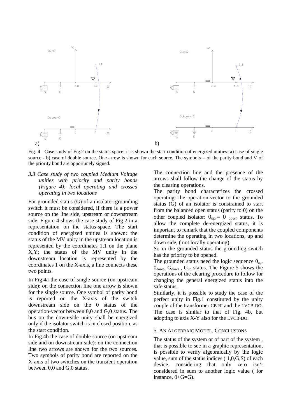

Fig. 4 Case study of Fig.2 on the status-space: it is shown the start condition of energized unities: a) case of single source - b) case of double source. One arrow is shown for each source. The symbols = of the parity bond and  $\nabla$  of the priority bond are opportunely signed.

*3.3 Case study of two coupled Medium Voltage unities with priority and parity bonds (Figure 4): local operating and* c*rossed operating in two locations*

For grounded status (G) of an isolator-grounding switch it must be considered, if there is a power source on the line side, upstream or downstream side. Figure 4 shows the case study of Fig.2 in a representation on the status-space. The start condition of energized unities is shown: the status of the MV unity in the upstream location is represented by the coordinates 1,1 on the plane X,Y; the status of the MV unity in the downstream location is represented by the coordinates 1 on the X-axis, a line connects these two points.

In Fig.4a the case of single source (on upstream side): on the connection line one arrow is shown for the single source. One symbol of parity bond is reported on the X-axis of the switch downstream side on the 0 status of the operation-vector between 0,0 and G,0 status. The bus on the down-side unity shall be energized only if the isolator switch is in closed position, as the start condition.

In Fig.4b the case of double source (on upstream side and on downstream side): on the connection line two arrows are shown for the two sources. Two symbols of parity bond are reported on the X-axis of two switches on the transient operation between 0,0 and G,0 status.

The connection line and the presence of the arrows shall follow the change of the status by the clearing operations.

The parity bond characterizes the crossed operating: the operation-vector to the grounded status (G) of an isolator is constrained to start from the balanced open status (parity to 0) on the other coupled isolator:  $0_{up}$  = 0  $_{down}$  status. To allow the complete de-energized status, it is important to remark that the coupled components determine the operating in two locations, up and down side, ( not locally operating).

So in the grounded status the grounding switch has the priority to be opened.

The grounded status need the logic sequence  $0_{up}$ ,  $0<sub>down</sub>$ ,  $G<sub>down</sub>$ ,  $G<sub>up</sub>$  status. The Figure 5 shows the operations of the clearing procedure to follow for changing the general energized status into the safe status.

Similarly, it is possible to study the case of the perfect unity in Fig.1 constituted by the unity couple of the transformer CB-BI and the LVCB-DO. The case is similar to that of Fig. 4b, but adopting to axis X-Y also for the LVCB-DO.

#### 5. AN ALGEBRAIC MODEL. CONCLUSIONS

The status of the system or of part of the system , that is possible to see in a graphic representation, is possible to verify algebraically by the logic value, sum of the status indices ( 1,0,G,S) of each device, considering that only zero isn't considered in sum to another logic value ( for instance,  $0+G=G$ ).